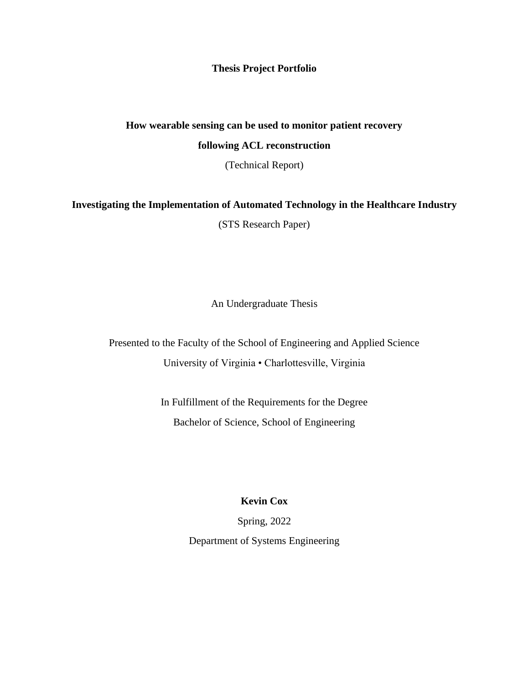**Thesis Project Portfolio**

## **How wearable sensing can be used to monitor patient recovery**

### **following ACL reconstruction**

(Technical Report)

# **Investigating the Implementation of Automated Technology in the Healthcare Industry**

(STS Research Paper)

An Undergraduate Thesis

Presented to the Faculty of the School of Engineering and Applied Science University of Virginia • Charlottesville, Virginia

> In Fulfillment of the Requirements for the Degree Bachelor of Science, School of Engineering

> > **Kevin Cox**

Spring, 2022

Department of Systems Engineering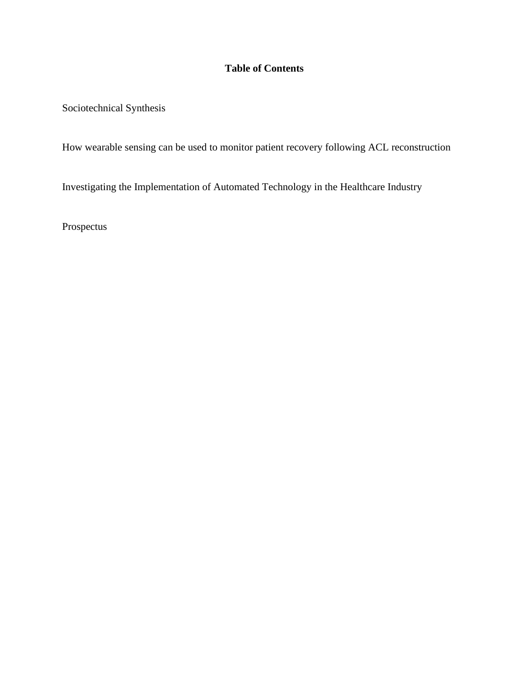## **Table of Contents**

Sociotechnical Synthesis

How wearable sensing can be used to monitor patient recovery following ACL reconstruction

Investigating the Implementation of Automated Technology in the Healthcare Industry

Prospectus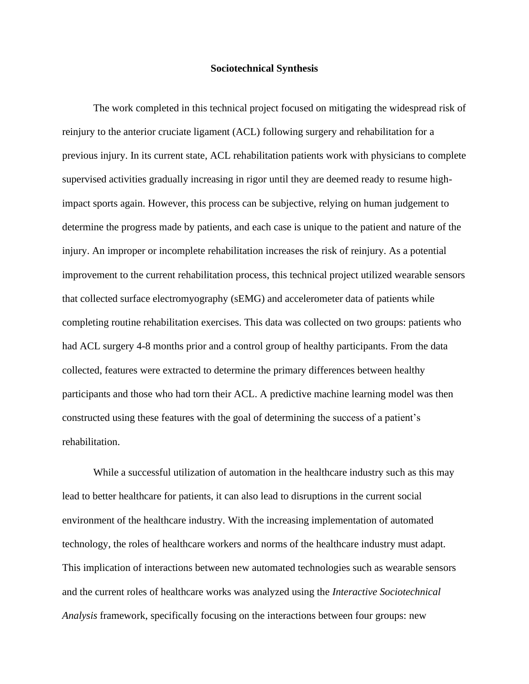#### **Sociotechnical Synthesis**

The work completed in this technical project focused on mitigating the widespread risk of reinjury to the anterior cruciate ligament (ACL) following surgery and rehabilitation for a previous injury. In its current state, ACL rehabilitation patients work with physicians to complete supervised activities gradually increasing in rigor until they are deemed ready to resume highimpact sports again. However, this process can be subjective, relying on human judgement to determine the progress made by patients, and each case is unique to the patient and nature of the injury. An improper or incomplete rehabilitation increases the risk of reinjury. As a potential improvement to the current rehabilitation process, this technical project utilized wearable sensors that collected surface electromyography (sEMG) and accelerometer data of patients while completing routine rehabilitation exercises. This data was collected on two groups: patients who had ACL surgery 4-8 months prior and a control group of healthy participants. From the data collected, features were extracted to determine the primary differences between healthy participants and those who had torn their ACL. A predictive machine learning model was then constructed using these features with the goal of determining the success of a patient's rehabilitation.

While a successful utilization of automation in the healthcare industry such as this may lead to better healthcare for patients, it can also lead to disruptions in the current social environment of the healthcare industry. With the increasing implementation of automated technology, the roles of healthcare workers and norms of the healthcare industry must adapt. This implication of interactions between new automated technologies such as wearable sensors and the current roles of healthcare works was analyzed using the *Interactive Sociotechnical Analysis* framework, specifically focusing on the interactions between four groups: new